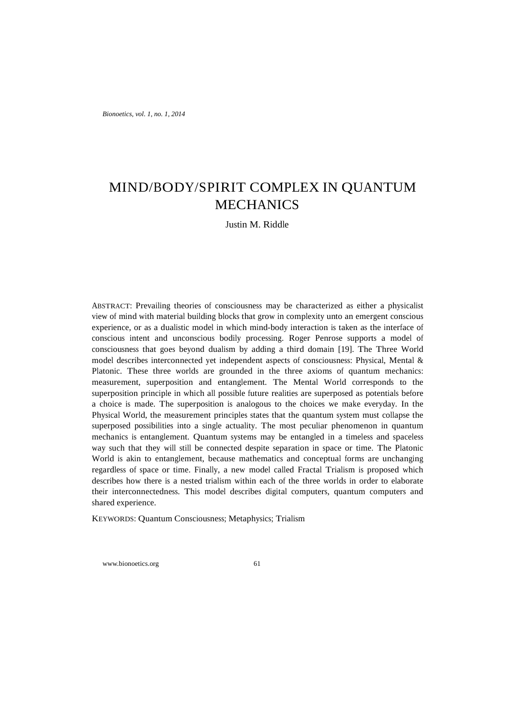*Bionoetics, vol. 1, no. 1, 2014*

# MIND/BODY/SPIRIT COMPLEX IN QUANTUM **MECHANICS**

Justin M. Riddle

ABSTRACT: Prevailing theories of consciousness may be characterized as either a physicalist view of mind with material building blocks that grow in complexity unto an emergent conscious experience, or as a dualistic model in which mind-body interaction is taken as the interface of conscious intent and unconscious bodily processing. Roger Penrose supports a model of consciousness that goes beyond dualism by adding a third domain [19]. The Three World model describes interconnected yet independent aspects of consciousness: Physical, Mental & Platonic. These three worlds are grounded in the three axioms of quantum mechanics: measurement, superposition and entanglement. The Mental World corresponds to the superposition principle in which all possible future realities are superposed as potentials before a choice is made. The superposition is analogous to the choices we make everyday. In the Physical World, the measurement principles states that the quantum system must collapse the superposed possibilities into a single actuality. The most peculiar phenomenon in quantum mechanics is entanglement. Quantum systems may be entangled in a timeless and spaceless way such that they will still be connected despite separation in space or time. The Platonic World is akin to entanglement, because mathematics and conceptual forms are unchanging regardless of space or time. Finally, a new model called Fractal Trialism is proposed which describes how there is a nested trialism within each of the three worlds in order to elaborate their interconnectedness. This model describes digital computers, quantum computers and shared experience.

KEYWORDS: Quantum Consciousness; Metaphysics; Trialism

www.bionoetics.org 61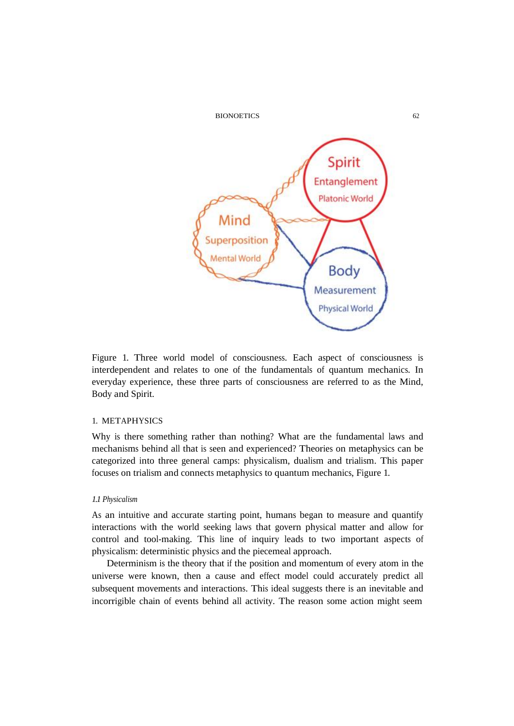

Figure 1. Three world model of consciousness. Each aspect of consciousness is interdependent and relates to one of the fundamentals of quantum mechanics. In everyday experience, these three parts of consciousness are referred to as the Mind, Body and Spirit.

# 1. METAPHYSICS

Why is there something rather than nothing? What are the fundamental laws and mechanisms behind all that is seen and experienced? Theories on metaphysics can be categorized into three general camps: physicalism, dualism and trialism. This paper focuses on trialism and connects metaphysics to quantum mechanics, Figure 1.

# *1.1 Physicalism*

As an intuitive and accurate starting point, humans began to measure and quantify interactions with the world seeking laws that govern physical matter and allow for control and tool-making. This line of inquiry leads to two important aspects of physicalism: deterministic physics and the piecemeal approach.

Determinism is the theory that if the position and momentum of every atom in the universe were known, then a cause and effect model could accurately predict all subsequent movements and interactions. This ideal suggests there is an inevitable and incorrigible chain of events behind all activity. The reason some action might seem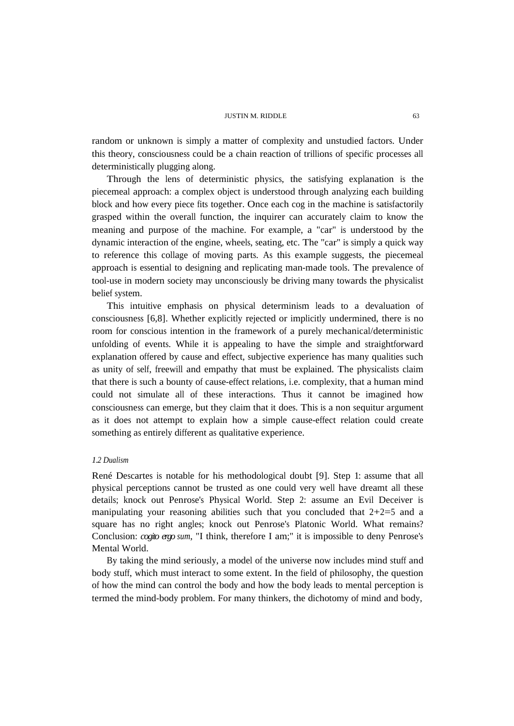random or unknown is simply a matter of complexity and unstudied factors. Under this theory, consciousness could be a chain reaction of trillions of specific processes all deterministically plugging along.

Through the lens of deterministic physics, the satisfying explanation is the piecemeal approach: a complex object is understood through analyzing each building block and how every piece fits together. Once each cog in the machine is satisfactorily grasped within the overall function, the inquirer can accurately claim to know the meaning and purpose of the machine. For example, a "car" is understood by the dynamic interaction of the engine, wheels, seating, etc. The "car" is simply a quick way to reference this collage of moving parts. As this example suggests, the piecemeal approach is essential to designing and replicating man-made tools. The prevalence of tool-use in modern society may unconsciously be driving many towards the physicalist belief system.

This intuitive emphasis on physical determinism leads to a devaluation of consciousness [6,8]. Whether explicitly rejected or implicitly undermined, there is no room for conscious intention in the framework of a purely mechanical/deterministic unfolding of events. While it is appealing to have the simple and straightforward explanation offered by cause and effect, subjective experience has many qualities such as unity of self, freewill and empathy that must be explained. The physicalists claim that there is such a bounty of cause-effect relations, i.e. complexity, that a human mind could not simulate all of these interactions. Thus it cannot be imagined how consciousness can emerge, but they claim that it does. This is a non sequitur argument as it does not attempt to explain how a simple cause-effect relation could create something as entirely different as qualitative experience.

# *1.2 Dualism*

René Descartes is notable for his methodological doubt [9]. Step 1: assume that all physical perceptions cannot be trusted as one could very well have dreamt all these details; knock out Penrose's Physical World. Step 2: assume an Evil Deceiver is manipulating your reasoning abilities such that you concluded that  $2+2=5$  and a square has no right angles; knock out Penrose's Platonic World. What remains? Conclusion: *cogito ergo sum*, "I think, therefore I am;" it is impossible to deny Penrose's Mental World.

By taking the mind seriously, a model of the universe now includes mind stuff and body stuff, which must interact to some extent. In the field of philosophy, the question of how the mind can control the body and how the body leads to mental perception is termed the mind-body problem. For many thinkers, the dichotomy of mind and body,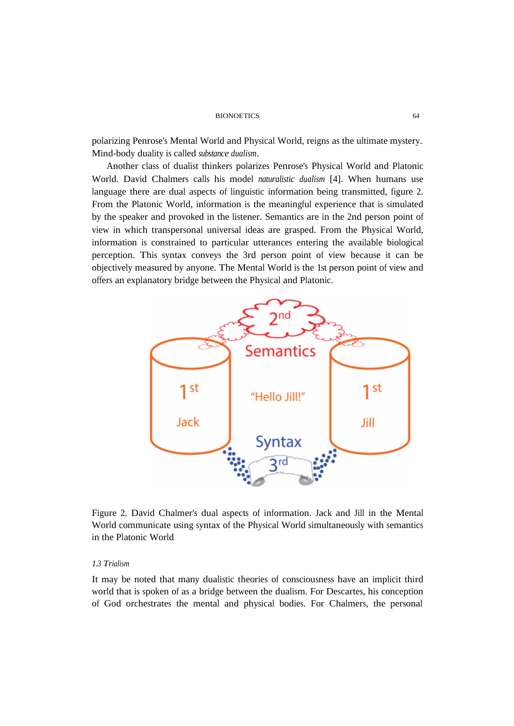polarizing Penrose's Mental World and Physical World, reigns as the ultimate mystery. Mind-body duality is called *substance dualism*.

Another class of dualist thinkers polarizes Penrose's Physical World and Platonic World. David Chalmers calls his model *naturalistic dualism* [4]. When humans use language there are dual aspects of linguistic information being transmitted, figure 2. From the Platonic World, information is the meaningful experience that is simulated by the speaker and provoked in the listener. Semantics are in the 2nd person point of view in which transpersonal universal ideas are grasped. From the Physical World, information is constrained to particular utterances entering the available biological perception. This syntax conveys the 3rd person point of view because it can be objectively measured by anyone. The Mental World is the 1st person point of view and offers an explanatory bridge between the Physical and Platonic.



Figure 2. David Chalmer's dual aspects of information. Jack and Jill in the Mental World communicate using syntax of the Physical World simultaneously with semantics in the Platonic World

# *1.3 Trialism*

It may be noted that many dualistic theories of consciousness have an implicit third world that is spoken of as a bridge between the dualism. For Descartes, his conception of God orchestrates the mental and physical bodies. For Chalmers, the personal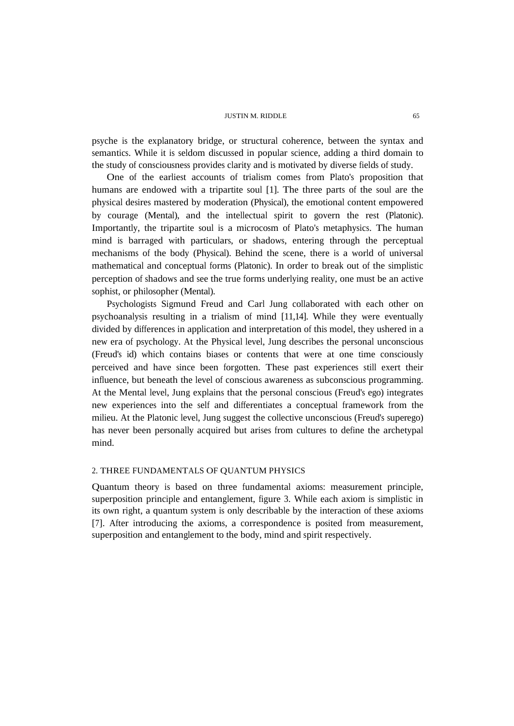psyche is the explanatory bridge, or structural coherence, between the syntax and semantics. While it is seldom discussed in popular science, adding a third domain to the study of consciousness provides clarity and is motivated by diverse fields of study.

One of the earliest accounts of trialism comes from Plato's proposition that humans are endowed with a tripartite soul [1]. The three parts of the soul are the physical desires mastered by moderation (Physical), the emotional content empowered by courage (Mental), and the intellectual spirit to govern the rest (Platonic). Importantly, the tripartite soul is a microcosm of Plato's metaphysics. The human mind is barraged with particulars, or shadows, entering through the perceptual mechanisms of the body (Physical). Behind the scene, there is a world of universal mathematical and conceptual forms (Platonic). In order to break out of the simplistic perception of shadows and see the true forms underlying reality, one must be an active sophist, or philosopher (Mental).

Psychologists Sigmund Freud and Carl Jung collaborated with each other on psychoanalysis resulting in a trialism of mind [11,14]. While they were eventually divided by differences in application and interpretation of this model, they ushered in a new era of psychology. At the Physical level, Jung describes the personal unconscious (Freud's id) which contains biases or contents that were at one time consciously perceived and have since been forgotten. These past experiences still exert their influence, but beneath the level of conscious awareness as subconscious programming. At the Mental level, Jung explains that the personal conscious (Freud's ego) integrates new experiences into the self and differentiates a conceptual framework from the milieu. At the Platonic level, Jung suggest the collective unconscious (Freud's superego) has never been personally acquired but arises from cultures to define the archetypal mind.

## 2. THREE FUNDAMENTALS OF QUANTUM PHYSICS

Quantum theory is based on three fundamental axioms: measurement principle, superposition principle and entanglement, figure 3. While each axiom is simplistic in its own right, a quantum system is only describable by the interaction of these axioms [7]. After introducing the axioms, a correspondence is posited from measurement, superposition and entanglement to the body, mind and spirit respectively.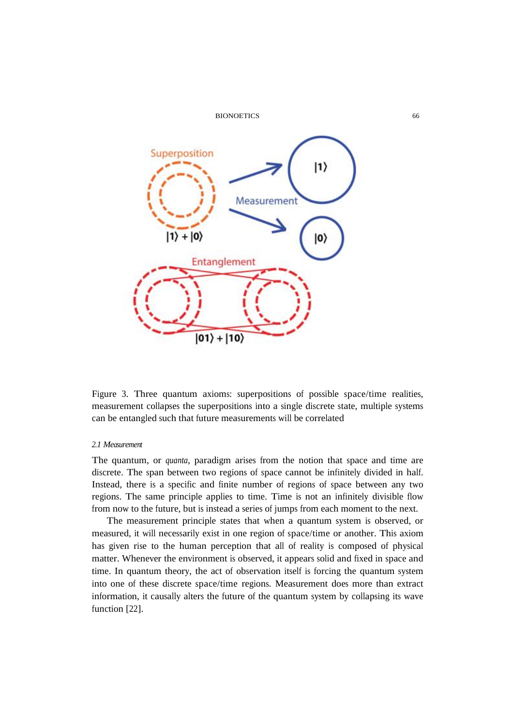

Figure 3. Three quantum axioms: superpositions of possible space/time realities, measurement collapses the superpositions into a single discrete state, multiple systems can be entangled such that future measurements will be correlated

### *2.1 Measurement*

The quantum, or *quanta*, paradigm arises from the notion that space and time are discrete. The span between two regions of space cannot be infinitely divided in half. Instead, there is a specific and finite number of regions of space between any two regions. The same principle applies to time. Time is not an infinitely divisible flow from now to the future, but is instead a series of jumps from each moment to the next.

The measurement principle states that when a quantum system is observed, or measured, it will necessarily exist in one region of space/time or another. This axiom has given rise to the human perception that all of reality is composed of physical matter. Whenever the environment is observed, it appears solid and fixed in space and time. In quantum theory, the act of observation itself is forcing the quantum system into one of these discrete space/time regions. Measurement does more than extract information, it causally alters the future of the quantum system by collapsing its wave function [22].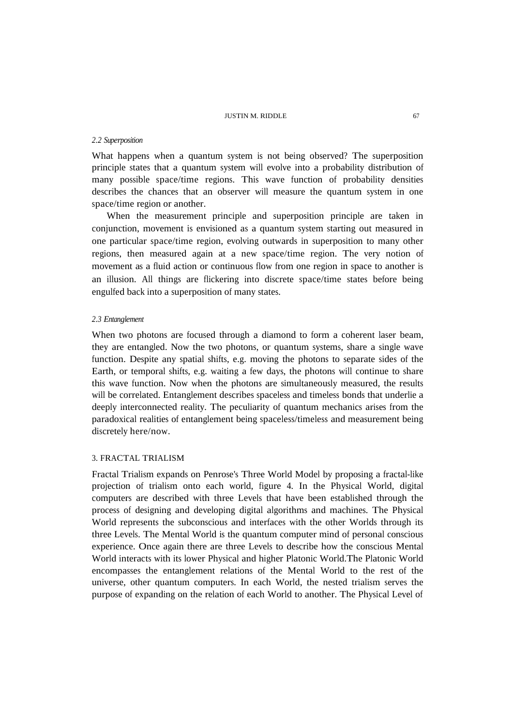# *2.2 Superposition*

What happens when a quantum system is not being observed? The superposition principle states that a quantum system will evolve into a probability distribution of many possible space/time regions. This wave function of probability densities describes the chances that an observer will measure the quantum system in one space/time region or another.

When the measurement principle and superposition principle are taken in conjunction, movement is envisioned as a quantum system starting out measured in one particular space/time region, evolving outwards in superposition to many other regions, then measured again at a new space/time region. The very notion of movement as a fluid action or continuous flow from one region in space to another is an illusion. All things are flickering into discrete space/time states before being engulfed back into a superposition of many states.

# *2.3 Entanglement*

When two photons are focused through a diamond to form a coherent laser beam, they are entangled. Now the two photons, or quantum systems, share a single wave function. Despite any spatial shifts, e.g. moving the photons to separate sides of the Earth, or temporal shifts, e.g. waiting a few days, the photons will continue to share this wave function. Now when the photons are simultaneously measured, the results will be correlated. Entanglement describes spaceless and timeless bonds that underlie a deeply interconnected reality. The peculiarity of quantum mechanics arises from the paradoxical realities of entanglement being spaceless/timeless and measurement being discretely here/now.

# 3. FRACTAL TRIALISM

Fractal Trialism expands on Penrose's Three World Model by proposing a fractal-like projection of trialism onto each world, figure 4. In the Physical World, digital computers are described with three Levels that have been established through the process of designing and developing digital algorithms and machines. The Physical World represents the subconscious and interfaces with the other Worlds through its three Levels. The Mental World is the quantum computer mind of personal conscious experience. Once again there are three Levels to describe how the conscious Mental World interacts with its lower Physical and higher Platonic World.The Platonic World encompasses the entanglement relations of the Mental World to the rest of the universe, other quantum computers. In each World, the nested trialism serves the purpose of expanding on the relation of each World to another. The Physical Level of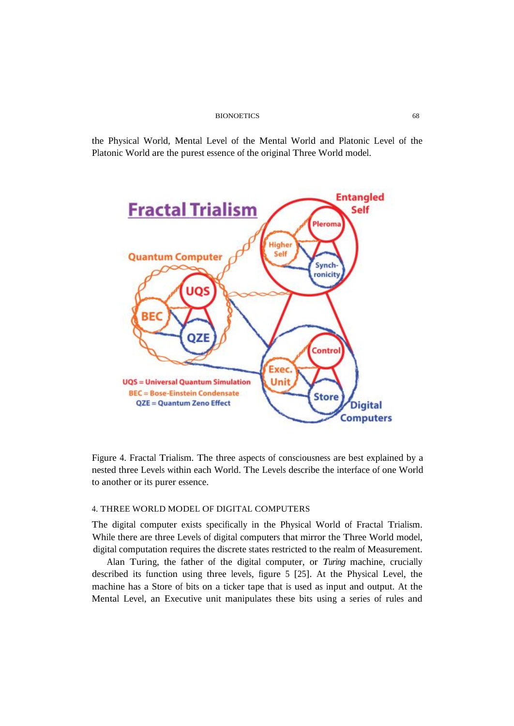the Physical World, Mental Level of the Mental World and Platonic Level of the Platonic World are the purest essence of the original Three World model.



Figure 4. Fractal Trialism. The three aspects of consciousness are best explained by a nested three Levels within each World. The Levels describe the interface of one World to another or its purer essence.

# 4. THREE WORLD MODEL OF DIGITAL COMPUTERS

The digital computer exists specifically in the Physical World of Fractal Trialism. While there are three Levels of digital computers that mirror the Three World model, digital computation requires the discrete states restricted to the realm of Measurement.

Alan Turing, the father of the digital computer, or *Turing* machine, crucially described its function using three levels, figure 5 [25]. At the Physical Level, the machine has a Store of bits on a ticker tape that is used as input and output. At the Mental Level, an Executive unit manipulates these bits using a series of rules and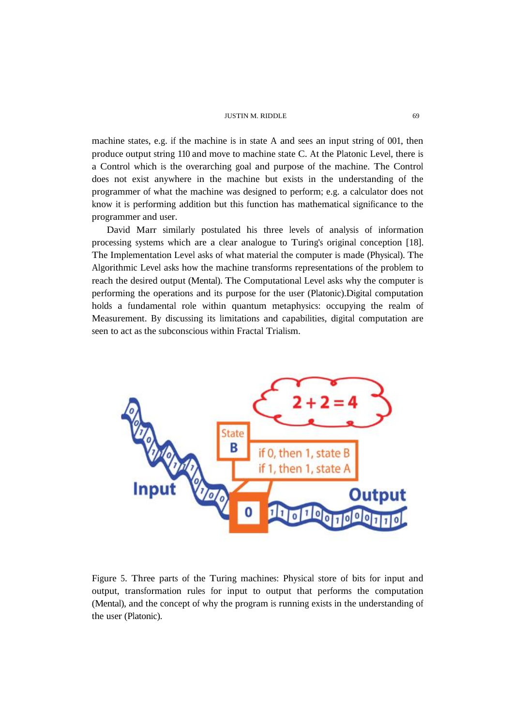machine states, e.g. if the machine is in state A and sees an input string of 001, then produce output string 110 and move to machine state C. At the Platonic Level, there is a Control which is the overarching goal and purpose of the machine. The Control does not exist anywhere in the machine but exists in the understanding of the programmer of what the machine was designed to perform; e.g. a calculator does not know it is performing addition but this function has mathematical significance to the programmer and user.

David Marr similarly postulated his three levels of analysis of information processing systems which are a clear analogue to Turing's original conception [18]. The Implementation Level asks of what material the computer is made (Physical). The Algorithmic Level asks how the machine transforms representations of the problem to reach the desired output (Mental). The Computational Level asks why the computer is performing the operations and its purpose for the user (Platonic).Digital computation holds a fundamental role within quantum metaphysics: occupying the realm of Measurement. By discussing its limitations and capabilities, digital computation are seen to act as the subconscious within Fractal Trialism.



Figure 5. Three parts of the Turing machines: Physical store of bits for input and output, transformation rules for input to output that performs the computation (Mental), and the concept of why the program is running exists in the understanding of the user (Platonic).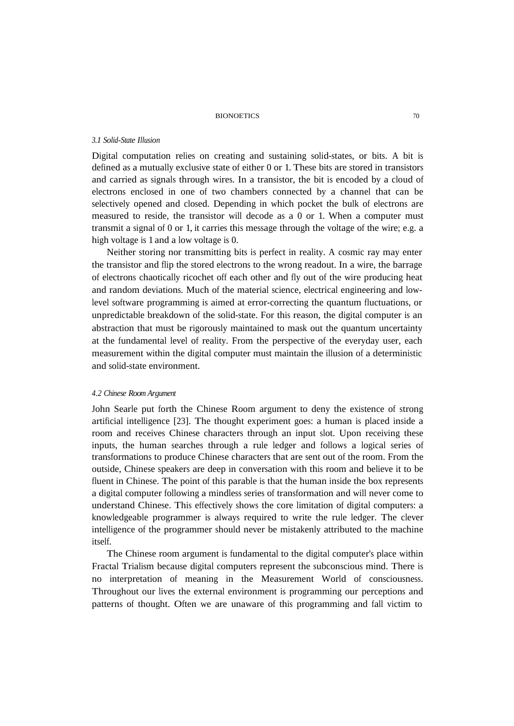#### *3.1 Solid-State Illusion*

Digital computation relies on creating and sustaining solid-states, or bits. A bit is defined as a mutually exclusive state of either 0 or 1. These bits are stored in transistors and carried as signals through wires. In a transistor, the bit is encoded by a cloud of electrons enclosed in one of two chambers connected by a channel that can be selectively opened and closed. Depending in which pocket the bulk of electrons are measured to reside, the transistor will decode as a 0 or 1. When a computer must transmit a signal of 0 or 1, it carries this message through the voltage of the wire; e.g. a high voltage is 1 and a low voltage is 0.

Neither storing nor transmitting bits is perfect in reality. A cosmic ray may enter the transistor and flip the stored electrons to the wrong readout. In a wire, the barrage of electrons chaotically ricochet off each other and fly out of the wire producing heat and random deviations. Much of the material science, electrical engineering and lowlevel software programming is aimed at error-correcting the quantum fluctuations, or unpredictable breakdown of the solid-state. For this reason, the digital computer is an abstraction that must be rigorously maintained to mask out the quantum uncertainty at the fundamental level of reality. From the perspective of the everyday user, each measurement within the digital computer must maintain the illusion of a deterministic and solid-state environment.

## *4.2 Chinese Room Argument*

John Searle put forth the Chinese Room argument to deny the existence of strong artificial intelligence [23]. The thought experiment goes: a human is placed inside a room and receives Chinese characters through an input slot. Upon receiving these inputs, the human searches through a rule ledger and follows a logical series of transformations to produce Chinese characters that are sent out of the room. From the outside, Chinese speakers are deep in conversation with this room and believe it to be fluent in Chinese. The point of this parable is that the human inside the box represents a digital computer following a mindless series of transformation and will never come to understand Chinese. This effectively shows the core limitation of digital computers: a knowledgeable programmer is always required to write the rule ledger. The clever intelligence of the programmer should never be mistakenly attributed to the machine itself.

The Chinese room argument is fundamental to the digital computer's place within Fractal Trialism because digital computers represent the subconscious mind. There is no interpretation of meaning in the Measurement World of consciousness. Throughout our lives the external environment is programming our perceptions and patterns of thought. Often we are unaware of this programming and fall victim to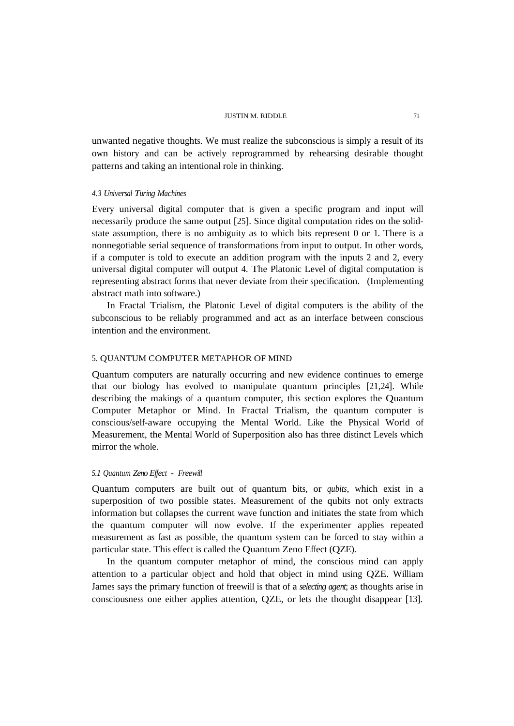unwanted negative thoughts. We must realize the subconscious is simply a result of its own history and can be actively reprogrammed by rehearsing desirable thought patterns and taking an intentional role in thinking.

# *4.3 Universal Turing Machines*

Every universal digital computer that is given a specific program and input will necessarily produce the same output [25]. Since digital computation rides on the solidstate assumption, there is no ambiguity as to which bits represent 0 or 1. There is a nonnegotiable serial sequence of transformations from input to output. In other words, if a computer is told to execute an addition program with the inputs 2 and 2, every universal digital computer will output 4. The Platonic Level of digital computation is representing abstract forms that never deviate from their specification. (Implementing abstract math into software.)

In Fractal Trialism, the Platonic Level of digital computers is the ability of the subconscious to be reliably programmed and act as an interface between conscious intention and the environment.

# 5. QUANTUM COMPUTER METAPHOR OF MIND

Quantum computers are naturally occurring and new evidence continues to emerge that our biology has evolved to manipulate quantum principles [21,24]. While describing the makings of a quantum computer, this section explores the Quantum Computer Metaphor or Mind. In Fractal Trialism, the quantum computer is conscious/self-aware occupying the Mental World. Like the Physical World of Measurement, the Mental World of Superposition also has three distinct Levels which mirror the whole.

### *5.1 Quantum Zeno Ef ect - Freewill*

Quantum computers are built out of quantum bits, or *qubits*, which exist in a superposition of two possible states. Measurement of the qubits not only extracts information but collapses the current wave function and initiates the state from which the quantum computer will now evolve. If the experimenter applies repeated measurement as fast as possible, the quantum system can be forced to stay within a particular state. This effect is called the Quantum Zeno Effect (QZE).

In the quantum computer metaphor of mind, the conscious mind can apply attention to a particular object and hold that object in mind using QZE. William James says the primary function of freewill is that of a *selecting agent*; as thoughts arise in consciousness one either applies attention, QZE, or lets the thought disappear [13].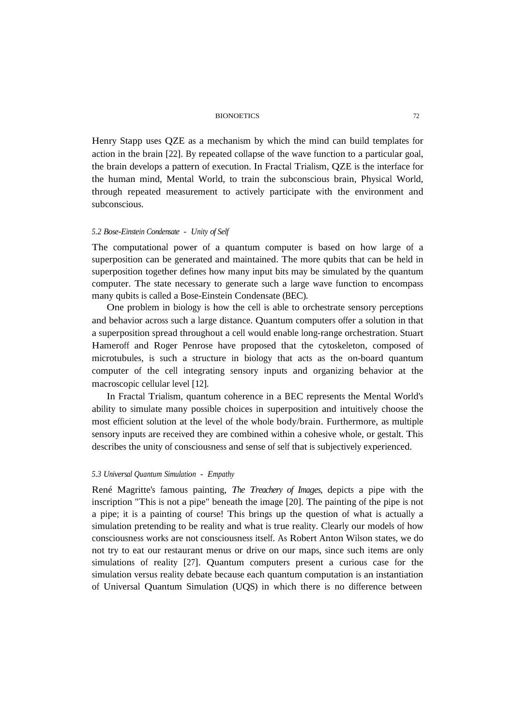Henry Stapp uses QZE as a mechanism by which the mind can build templates for action in the brain [22]. By repeated collapse of the wave function to a particular goal, the brain develops a pattern of execution. In Fractal Trialism, QZE is the interface for the human mind, Mental World, to train the subconscious brain, Physical World, through repeated measurement to actively participate with the environment and subconscious.

# *5.2 Bose-Einstein Condensate - Unity of Self*

The computational power of a quantum computer is based on how large of a superposition can be generated and maintained. The more qubits that can be held in superposition together defines how many input bits may be simulated by the quantum computer. The state necessary to generate such a large wave function to encompass many qubits is called a Bose-Einstein Condensate (BEC).

One problem in biology is how the cell is able to orchestrate sensory perceptions and behavior across such a large distance. Quantum computers offer a solution in that a superposition spread throughout a cell would enable long-range orchestration. Stuart Hameroff and Roger Penrose have proposed that the cytoskeleton, composed of microtubules, is such a structure in biology that acts as the on-board quantum computer of the cell integrating sensory inputs and organizing behavior at the macroscopic cellular level [12].

In Fractal Trialism, quantum coherence in a BEC represents the Mental World's ability to simulate many possible choices in superposition and intuitively choose the most efficient solution at the level of the whole body/brain. Furthermore, as multiple sensory inputs are received they are combined within a cohesive whole, or gestalt. This describes the unity of consciousness and sense of self that is subjectively experienced.

# *5.3 Universal Quantum Simulation - Empathy*

René Magritte's famous painting, *The Treachery of Images*, depicts a pipe with the inscription "This is not a pipe" beneath the image [20]. The painting of the pipe is not a pipe; it is a painting of course! This brings up the question of what is actually a simulation pretending to be reality and what is true reality. Clearly our models of how consciousness works are not consciousness itself. As Robert Anton Wilson states, we do not try to eat our restaurant menus or drive on our maps, since such items are only simulations of reality [27]. Quantum computers present a curious case for the simulation versus reality debate because each quantum computation is an instantiation of Universal Quantum Simulation (UQS) in which there is no difference between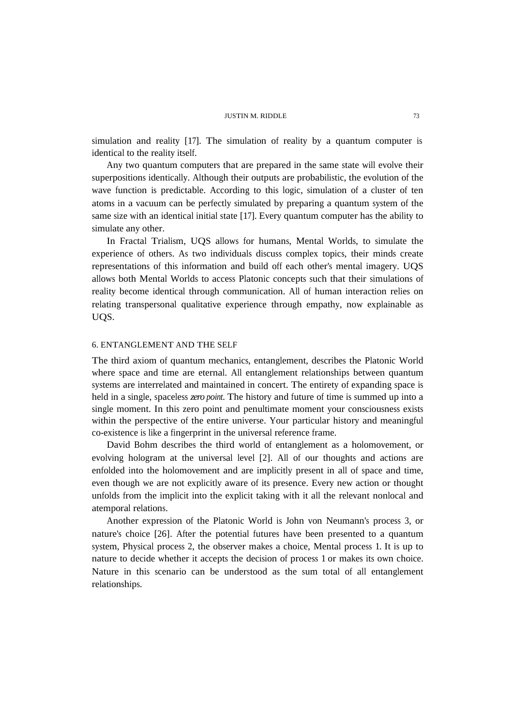simulation and reality [17]. The simulation of reality by a quantum computer is identical to the reality itself.

Any two quantum computers that are prepared in the same state will evolve their superpositions identically. Although their outputs are probabilistic, the evolution of the wave function is predictable. According to this logic, simulation of a cluster of ten atoms in a vacuum can be perfectly simulated by preparing a quantum system of the same size with an identical initial state [17]. Every quantum computer has the ability to simulate any other.

In Fractal Trialism, UQS allows for humans, Mental Worlds, to simulate the experience of others. As two individuals discuss complex topics, their minds create representations of this information and build off each other's mental imagery. UQS allows both Mental Worlds to access Platonic concepts such that their simulations of reality become identical through communication. All of human interaction relies on relating transpersonal qualitative experience through empathy, now explainable as UQS.

# 6. ENTANGLEMENT AND THE SELF

The third axiom of quantum mechanics, entanglement, describes the Platonic World where space and time are eternal. All entanglement relationships between quantum systems are interrelated and maintained in concert. The entirety of expanding space is held in a single, spaceless *zero point*. The history and future of time is summed up into a single moment. In this zero point and penultimate moment your consciousness exists within the perspective of the entire universe. Your particular history and meaningful co-existence is like a fingerprint in the universal reference frame.

David Bohm describes the third world of entanglement as a holomovement, or evolving hologram at the universal level [2]. All of our thoughts and actions are enfolded into the holomovement and are implicitly present in all of space and time, even though we are not explicitly aware of its presence. Every new action or thought unfolds from the implicit into the explicit taking with it all the relevant nonlocal and atemporal relations.

Another expression of the Platonic World is John von Neumann's process 3, or nature's choice [26]. After the potential futures have been presented to a quantum system, Physical process 2, the observer makes a choice, Mental process 1. It is up to nature to decide whether it accepts the decision of process 1 or makes its own choice. Nature in this scenario can be understood as the sum total of all entanglement relationships.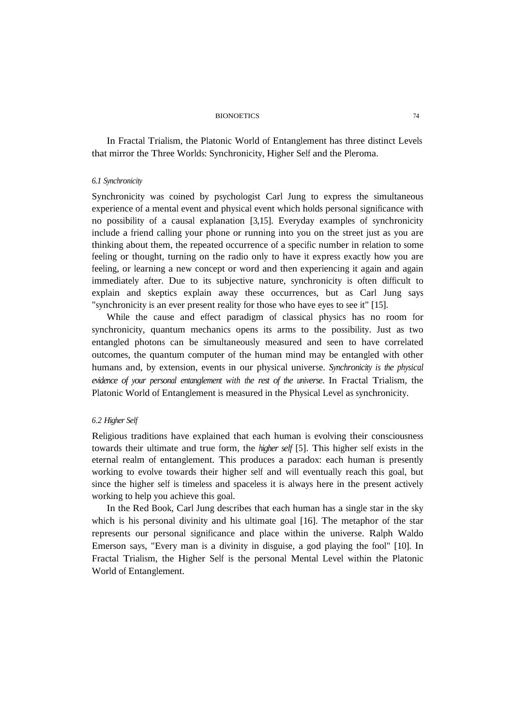In Fractal Trialism, the Platonic World of Entanglement has three distinct Levels that mirror the Three Worlds: Synchronicity, Higher Self and the Pleroma.

### *6.1 Synchronicity*

Synchronicity was coined by psychologist Carl Jung to express the simultaneous experience of a mental event and physical event which holds personal significance with no possibility of a causal explanation [3,15]. Everyday examples of synchronicity include a friend calling your phone or running into you on the street just as you are thinking about them, the repeated occurrence of a specific number in relation to some feeling or thought, turning on the radio only to have it express exactly how you are feeling, or learning a new concept or word and then experiencing it again and again immediately after. Due to its subjective nature, synchronicity is often difficult to explain and skeptics explain away these occurrences, but as Carl Jung says "synchronicity is an ever present reality for those who have eyes to see it" [15].

While the cause and effect paradigm of classical physics has no room for synchronicity, quantum mechanics opens its arms to the possibility. Just as two entangled photons can be simultaneously measured and seen to have correlated outcomes, the quantum computer of the human mind may be entangled with other humans and, by extension, events in our physical universe. *Synchronicity is the physical evidence of your personal entanglement with the rest of the universe*. In Fractal Trialism, the Platonic World of Entanglement is measured in the Physical Level as synchronicity.

# *6.2 Higher Self*

Religious traditions have explained that each human is evolving their consciousness towards their ultimate and true form, the *higher self* [5]. This higher self exists in the eternal realm of entanglement. This produces a paradox: each human is presently working to evolve towards their higher self and will eventually reach this goal, but since the higher self is timeless and spaceless it is always here in the present actively working to help you achieve this goal.

In the Red Book, Carl Jung describes that each human has a single star in the sky which is his personal divinity and his ultimate goal [16]. The metaphor of the star represents our personal significance and place within the universe. Ralph Waldo Emerson says, "Every man is a divinity in disguise, a god playing the fool" [10]. In Fractal Trialism, the Higher Self is the personal Mental Level within the Platonic World of Entanglement.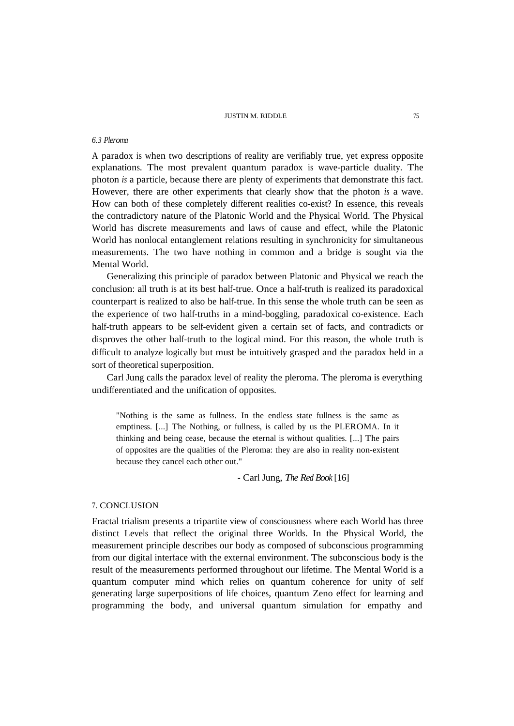## *6.3 Pleroma*

A paradox is when two descriptions of reality are verifiably true, yet express opposite explanations. The most prevalent quantum paradox is wave-particle duality. The photon *is* a particle, because there are plenty of experiments that demonstrate this fact. However, there are other experiments that clearly show that the photon *is* a wave. How can both of these completely different realities co-exist? In essence, this reveals the contradictory nature of the Platonic World and the Physical World. The Physical World has discrete measurements and laws of cause and effect, while the Platonic World has nonlocal entanglement relations resulting in synchronicity for simultaneous measurements. The two have nothing in common and a bridge is sought via the Mental World.

Generalizing this principle of paradox between Platonic and Physical we reach the conclusion: all truth is at its best half-true. Once a half-truth is realized its paradoxical counterpart is realized to also be half-true. In this sense the whole truth can be seen as the experience of two half-truths in a mind-boggling, paradoxical co-existence. Each half-truth appears to be self-evident given a certain set of facts, and contradicts or disproves the other half-truth to the logical mind. For this reason, the whole truth is difficult to analyze logically but must be intuitively grasped and the paradox held in a sort of theoretical superposition.

Carl Jung calls the paradox level of reality the pleroma. The pleroma is everything undifferentiated and the unification of opposites.

"Nothing is the same as fullness. In the endless state fullness is the same as emptiness. [...] The Nothing, or fullness, is called by us the PLEROMA. In it thinking and being cease, because the eternal is without qualities. [...] The pairs of opposites are the qualities of the Pleroma: they are also in reality non-existent because they cancel each other out."

- Carl Jung, *The Red Book* [16]

# 7. CONCLUSION

Fractal trialism presents a tripartite view of consciousness where each World has three distinct Levels that reflect the original three Worlds. In the Physical World, the measurement principle describes our body as composed of subconscious programming from our digital interface with the external environment. The subconscious body is the result of the measurements performed throughout our lifetime. The Mental World is a quantum computer mind which relies on quantum coherence for unity of self generating large superpositions of life choices, quantum Zeno effect for learning and programming the body, and universal quantum simulation for empathy and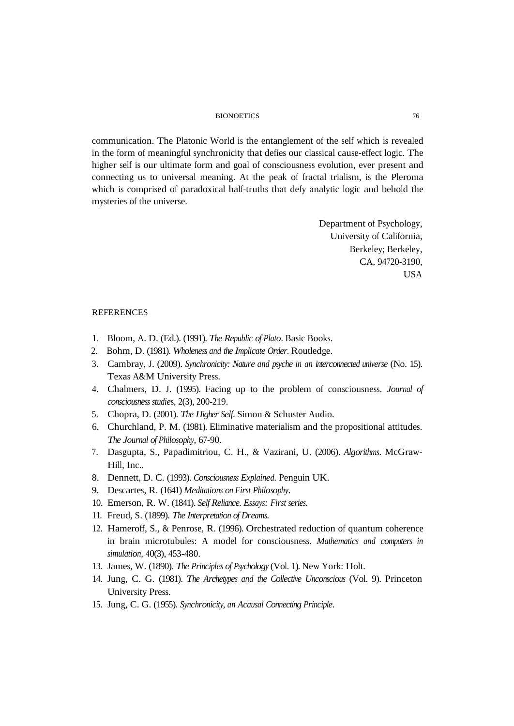communication. The Platonic World is the entanglement of the self which is revealed in the form of meaningful synchronicity that defies our classical cause-effect logic. The higher self is our ultimate form and goal of consciousness evolution, ever present and connecting us to universal meaning. At the peak of fractal trialism, is the Pleroma which is comprised of paradoxical half-truths that defy analytic logic and behold the mysteries of the universe.

> Department of Psychology, University of California, Berkeley; Berkeley, CA, 94720-3190, USA

### REFERENCES

- 1. Bloom, A. D. (Ed.). (1991). *The Republic of Plato*. Basic Books.
- 2. Bohm, D. (1981). *Wholeness and the Implicate Order*. Routledge.
- 3. Cambray, J. (2009). *Synchronicity: Nature and psyche in an interconnected universe* (No. 15). Texas A&M University Press.
- 4. Chalmers, D. J. (1995). Facing up to the problem of consciousness. *Journal of consciousness studie*s, 2(3), 200-219.
- 5. Chopra, D. (2001). *The Higher Self*. Simon & Schuster Audio.
- 6. Churchland, P. M. (1981). Eliminative materialism and the propositional attitudes. *The Journal of Philosophy*, 67-90.
- 7. Dasgupta, S., Papadimitriou, C. H., & Vazirani, U. (2006). *Algorithms*. McGraw-Hill, Inc..
- 8. Dennett, D. C. (1993). *Consciousness Explained*. Penguin UK.
- 9. Descartes, R. (1641) *Meditations on First Philosophy*.
- 10. Emerson, R. W. (1841). *Self Reliance. Essays: First series*.
- 11. Freud, S. (1899). *The Interpretation of Dreams*.
- 12. Hameroff, S., & Penrose, R. (1996). Orchestrated reduction of quantum coherence in brain microtubules: A model for consciousness. *Mathematics and computers in simulation,* 40(3), 453-480.
- 13. James, W. (1890). *The Principles of Psychology* (Vol. 1). New York: Holt.
- 14. Jung, C. G. (1981). *The Archetypes and the Collective Unconscious* (Vol. 9). Princeton University Press.
- 15. Jung, C. G. (1955). *Synchronicity, an Acausal Connecting Principle*.